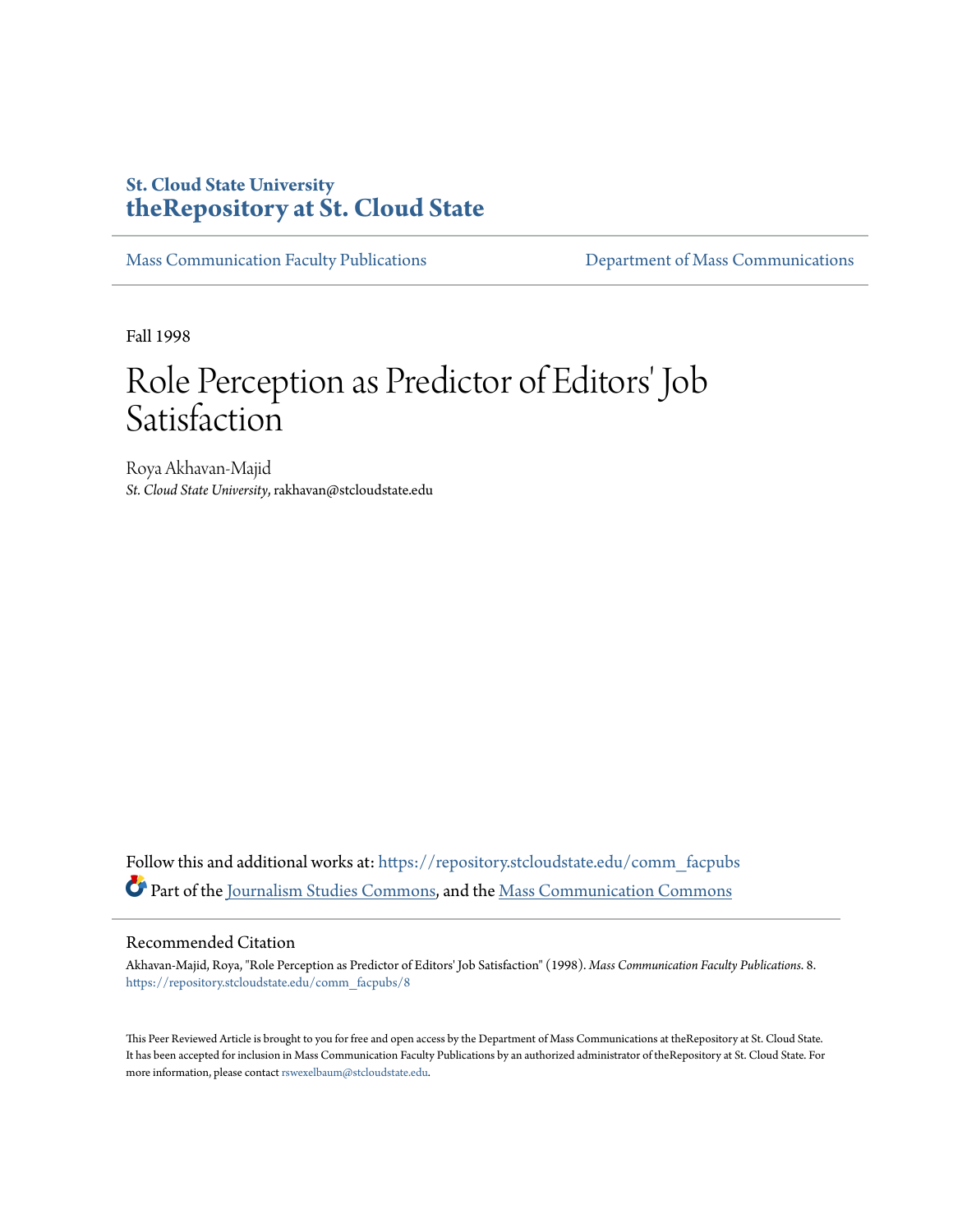## **St. Cloud State University [theRepository at St. Cloud State](https://repository.stcloudstate.edu?utm_source=repository.stcloudstate.edu%2Fcomm_facpubs%2F8&utm_medium=PDF&utm_campaign=PDFCoverPages)**

[Mass Communication Faculty Publications](https://repository.stcloudstate.edu/comm_facpubs?utm_source=repository.stcloudstate.edu%2Fcomm_facpubs%2F8&utm_medium=PDF&utm_campaign=PDFCoverPages) [Department of Mass Communications](https://repository.stcloudstate.edu/comm?utm_source=repository.stcloudstate.edu%2Fcomm_facpubs%2F8&utm_medium=PDF&utm_campaign=PDFCoverPages)

Fall 1998

# Role Perception as Predictor of Editors' Job **Satisfaction**

Roya Akhavan-Majid *St. Cloud State University*, rakhavan@stcloudstate.edu

Follow this and additional works at: [https://repository.stcloudstate.edu/comm\\_facpubs](https://repository.stcloudstate.edu/comm_facpubs?utm_source=repository.stcloudstate.edu%2Fcomm_facpubs%2F8&utm_medium=PDF&utm_campaign=PDFCoverPages) Part of the [Journalism Studies Commons](http://network.bepress.com/hgg/discipline/333?utm_source=repository.stcloudstate.edu%2Fcomm_facpubs%2F8&utm_medium=PDF&utm_campaign=PDFCoverPages), and the [Mass Communication Commons](http://network.bepress.com/hgg/discipline/334?utm_source=repository.stcloudstate.edu%2Fcomm_facpubs%2F8&utm_medium=PDF&utm_campaign=PDFCoverPages)

#### Recommended Citation

Akhavan-Majid, Roya, "Role Perception as Predictor of Editors' Job Satisfaction" (1998). *Mass Communication Faculty Publications*. 8. [https://repository.stcloudstate.edu/comm\\_facpubs/8](https://repository.stcloudstate.edu/comm_facpubs/8?utm_source=repository.stcloudstate.edu%2Fcomm_facpubs%2F8&utm_medium=PDF&utm_campaign=PDFCoverPages)

This Peer Reviewed Article is brought to you for free and open access by the Department of Mass Communications at theRepository at St. Cloud State. It has been accepted for inclusion in Mass Communication Faculty Publications by an authorized administrator of theRepository at St. Cloud State. For more information, please contact [rswexelbaum@stcloudstate.edu](mailto:rswexelbaum@stcloudstate.edu).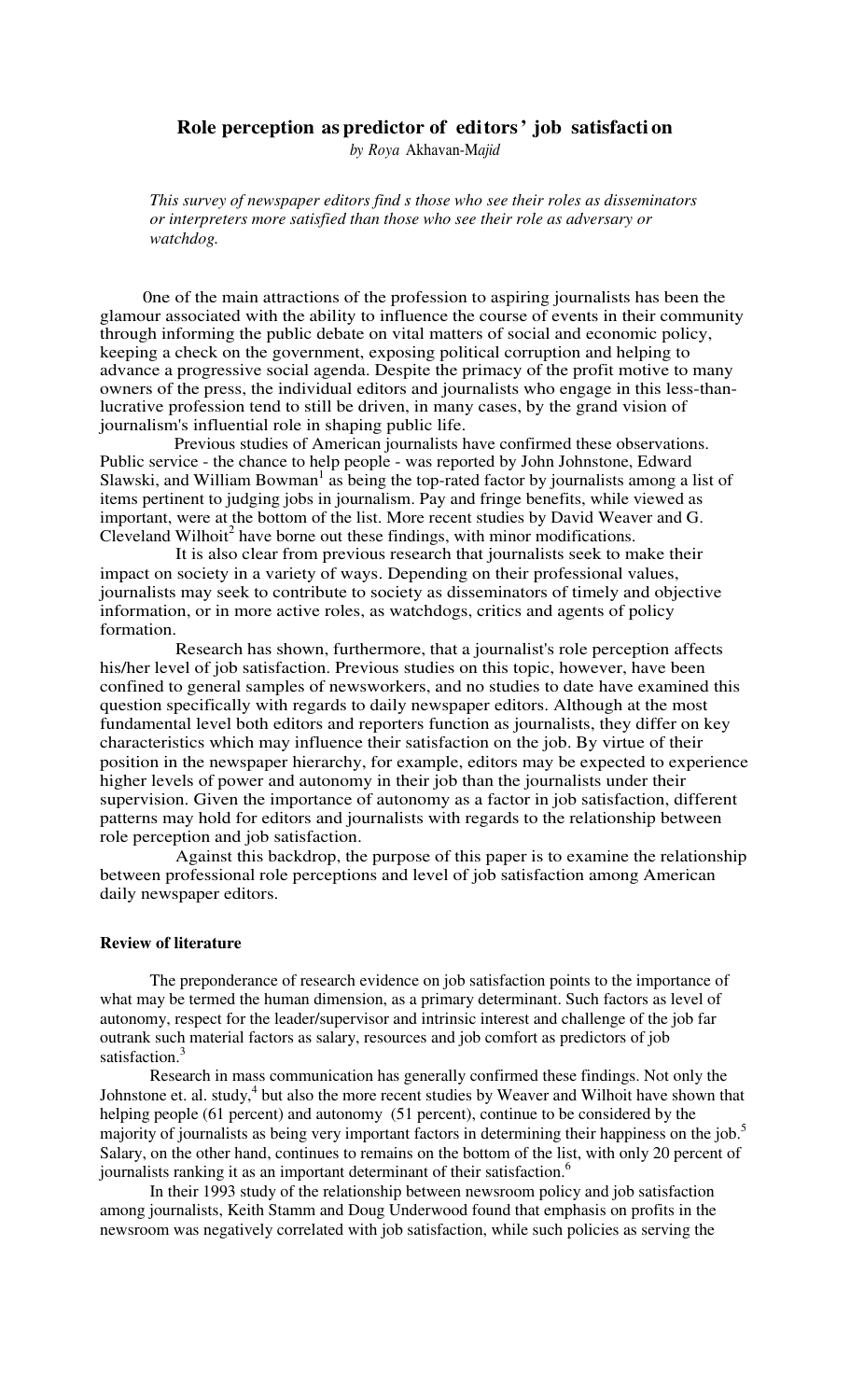## **Role perception as predictor of editors' job satisfacti on**

*by Roya* Akhavan-M*ajid*

*This survey of newspaper editors find s those who see their roles as disseminators or interpreters more satisfied than those who see their role as adversary or watchdog.* 

0ne of the main attractions of the profession to aspiring journalists has been the glamour associated with the ability to influence the course of events in their community through informing the public debate on vital matters of social and economic policy, keeping a check on the government, exposing political corruption and helping to advance a progressive social agenda. Despite the primacy of the profit motive to many owners of the press, the individual editors and journalists who engage in this less-thanlucrative profession tend to still be driven, in many cases, by the grand vision of journalism's influential role in shaping public life.

Previous studies of American journalists have confirmed these observations. Public service - the chance to help people - was reported by John Johnstone, Edward Slawski, and William Bowman<sup>1</sup> as being the top-rated factor by journalists among a list of items pertinent to judging jobs in journalism. Pay and fringe benefits, while viewed as important, were at the bottom of the list. More recent studies by David Weaver and G.  $C$ leveland Wilhoit<sup>2</sup> have borne out these findings, with minor modifications.

It is also clear from previous research that journalists seek to make their impact on society in a variety of ways. Depending on their professional values, journalists may seek to contribute to society as disseminators of timely and objective information, or in more active roles, as watchdogs, critics and agents of policy formation.

Research has shown, furthermore, that a journalist's role perception affects his/her level of job satisfaction. Previous studies on this topic, however, have been confined to general samples of newsworkers, and no studies to date have examined this question specifically with regards to daily newspaper editors. Although at the most fundamental level both editors and reporters function as journalists, they differ on key characteristics which may influence their satisfaction on the job. By virtue of their position in the newspaper hierarchy, for example, editors may be expected to experience higher levels of power and autonomy in their job than the journalists under their supervision. Given the importance of autonomy as a factor in job satisfaction, different patterns may hold for editors and journalists with regards to the relationship between role perception and job satisfaction.

Against this backdrop, the purpose of this paper is to examine the relationship between professional role perceptions and level of job satisfaction among American daily newspaper editors.

## **Review of literature**

The preponderance of research evidence on job satisfaction points to the importance of what may be termed the human dimension, as a primary determinant. Such factors as level of autonomy, respect for the leader/supervisor and intrinsic interest and challenge of the job far outrank such material factors as salary, resources and job comfort as predictors of job satisfaction.<sup>3</sup>

Research in mass communication has generally confirmed these findings. Not only the Johnstone et. al. study,<sup>4</sup> but also the more recent studies by Weaver and Wilhoit have shown that helping people (61 percent) and autonomy (51 percent), continue to be considered by the majority of journalists as being very important factors in determining their happiness on the job.<sup>5</sup> Salary, on the other hand, continues to remains on the bottom of the list, with only 20 percent of journalists ranking it as an important determinant of their satisfaction.<sup>6</sup>

In their 1993 study of the relationship between newsroom policy and job satisfaction among journalists, Keith Stamm and Doug Underwood found that emphasis on profits in the newsroom was negatively correlated with job satisfaction, while such policies as serving the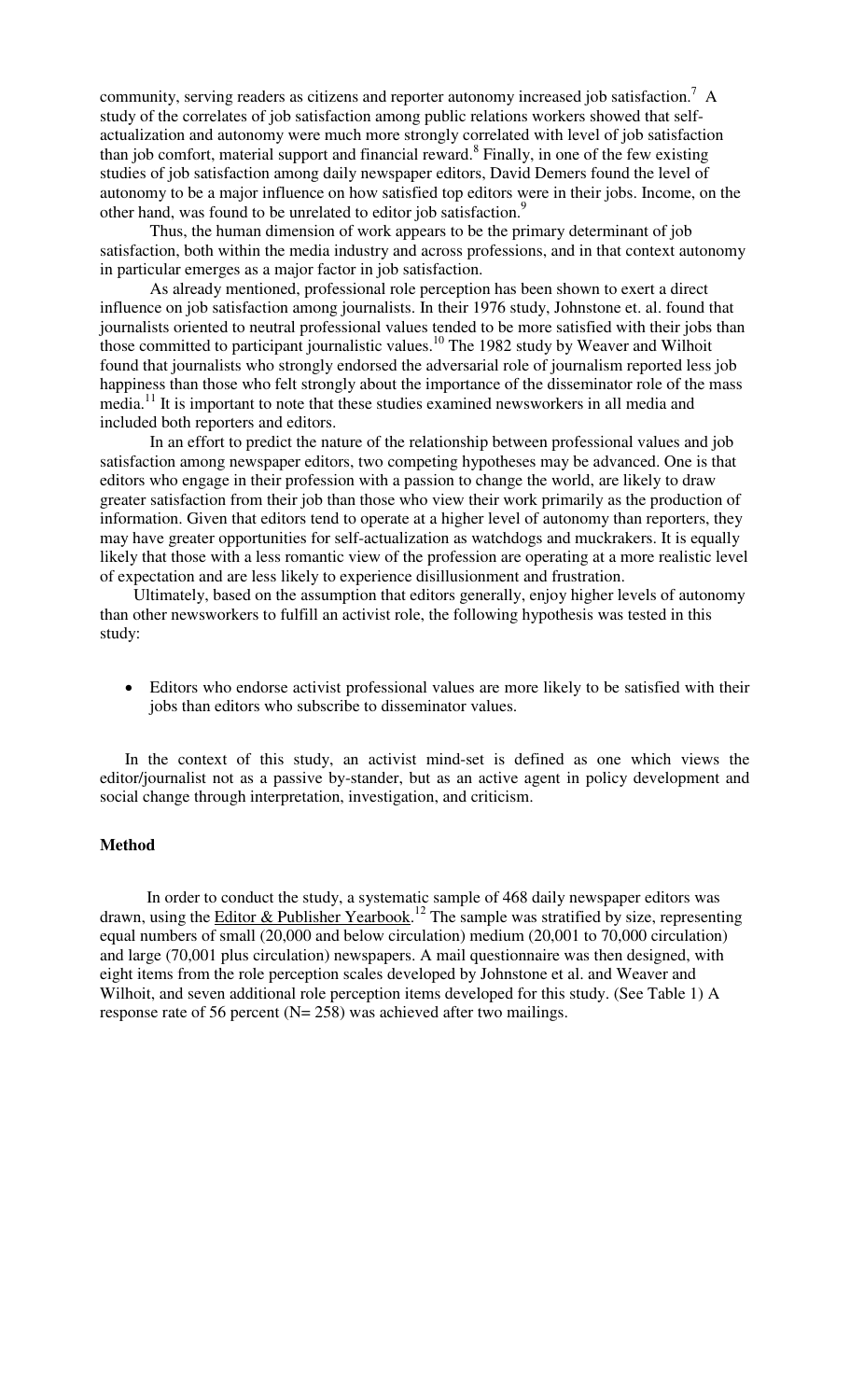community, serving readers as citizens and reporter autonomy increased job satisfaction.<sup>7</sup> A study of the correlates of job satisfaction among public relations workers showed that selfactualization and autonomy were much more strongly correlated with level of job satisfaction than job comfort, material support and financial reward.<sup>8</sup> Finally, in one of the few existing studies of job satisfaction among daily newspaper editors, David Demers found the level of autonomy to be a major influence on how satisfied top editors were in their jobs. Income, on the other hand, was found to be unrelated to editor job satisfaction.<sup>9</sup>

Thus, the human dimension of work appears to be the primary determinant of job satisfaction, both within the media industry and across professions, and in that context autonomy in particular emerges as a major factor in job satisfaction.

As already mentioned, professional role perception has been shown to exert a direct influence on job satisfaction among journalists. In their 1976 study, Johnstone et. al. found that journalists oriented to neutral professional values tended to be more satisfied with their jobs than those committed to participant journalistic values.<sup>10</sup> The 1982 study by Weaver and Wilhoit found that journalists who strongly endorsed the adversarial role of journalism reported less job happiness than those who felt strongly about the importance of the disseminator role of the mass media.<sup>11</sup> It is important to note that these studies examined newsworkers in all media and included both reporters and editors.

In an effort to predict the nature of the relationship between professional values and job satisfaction among newspaper editors, two competing hypotheses may be advanced. One is that editors who engage in their profession with a passion to change the world, are likely to draw greater satisfaction from their job than those who view their work primarily as the production of information. Given that editors tend to operate at a higher level of autonomy than reporters, they may have greater opportunities for self-actualization as watchdogs and muckrakers. It is equally likely that those with a less romantic view of the profession are operating at a more realistic level of expectation and are less likely to experience disillusionment and frustration.

Ultimately, based on the assumption that editors generally, enjoy higher levels of autonomy than other newsworkers to fulfill an activist role, the following hypothesis was tested in this study:

• Editors who endorse activist professional values are more likely to be satisfied with their jobs than editors who subscribe to disseminator values.

In the context of this study, an activist mind-set is defined as one which views the editor/journalist not as a passive by-stander, but as an active agent in policy development and social change through interpretation, investigation, and criticism.

## **Method**

In order to conduct the study, a systematic sample of 468 daily newspaper editors was drawn, using the Editor & Publisher Yearbook.<sup>12</sup> The sample was stratified by size, representing equal numbers of small (20,000 and below circulation) medium (20,001 to 70,000 circulation) and large (70,001 plus circulation) newspapers. A mail questionnaire was then designed, with eight items from the role perception scales developed by Johnstone et al. and Weaver and Wilhoit, and seven additional role perception items developed for this study. (See Table 1) A response rate of 56 percent ( $N = 258$ ) was achieved after two mailings.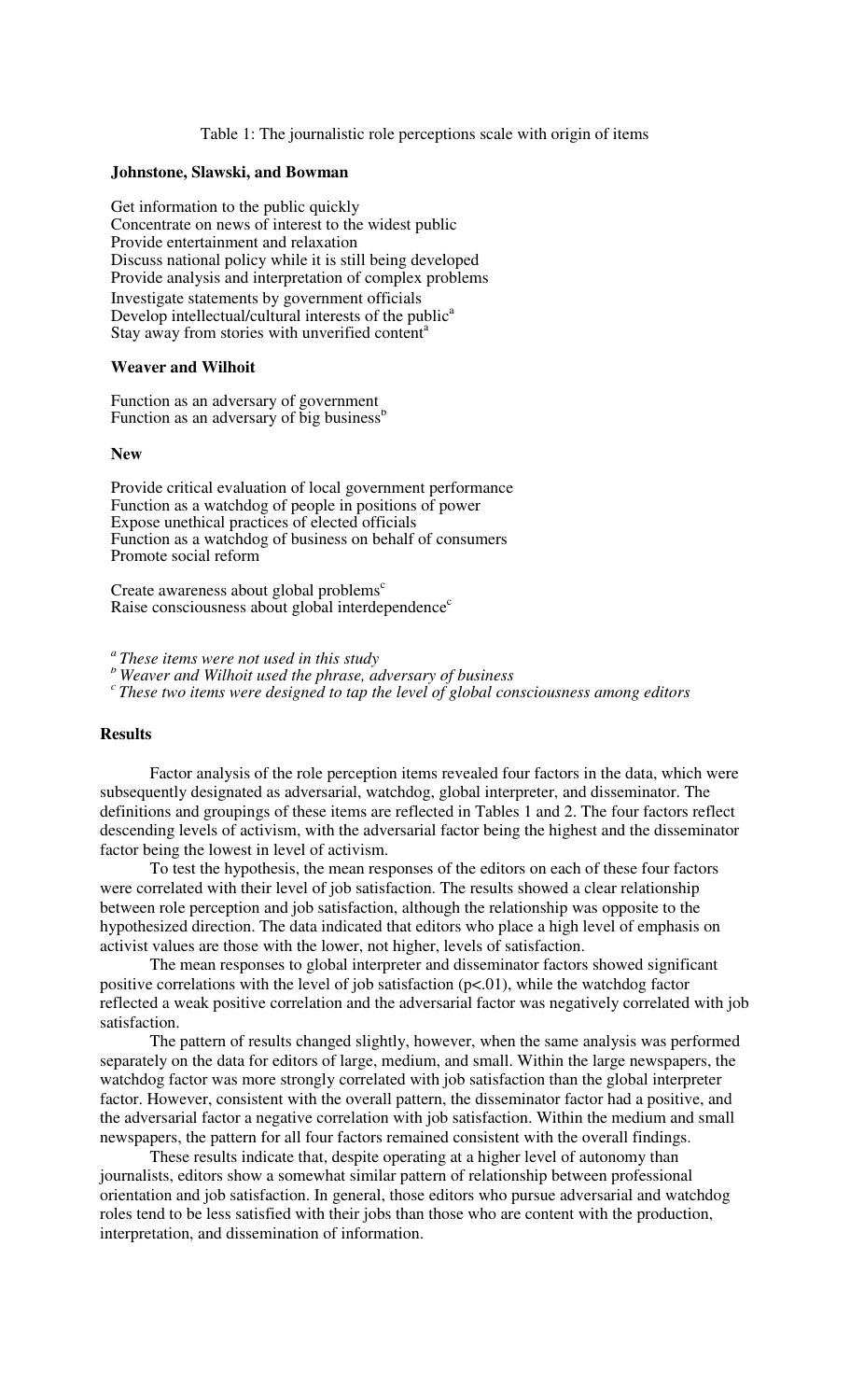#### Table 1: The journalistic role perceptions scale with origin of items

#### **Johnstone, Slawski, and Bowman**

Get information to the public quickly Concentrate on news of interest to the widest public Provide entertainment and relaxation Discuss national policy while it is still being developed Provide analysis and interpretation of complex problems Investigate statements by government officials Develop intellectual/cultural interests of the public<sup>a</sup> Stay away from stories with unverified content<sup>a</sup>

#### **Weaver and Wilhoit**

Function as an adversary of government Function as an adversary of big business<sup>b</sup>

#### **New**

Provide critical evaluation of local government performance Function as a watchdog of people in positions of power Expose unethical practices of elected officials Function as a watchdog of business on behalf of consumers Promote social reform

Create awareness about global problems $<sup>c</sup>$ </sup> Raise consciousness about global interdependence<sup>c</sup>

*<sup>a</sup>These items were not used in this study*

*<sup>b</sup>Weaver and Wilhoit used the phrase, adversary of business*

*<sup>c</sup>These two items were designed to tap the level of global consciousness among editors*

#### **Results**

Factor analysis of the role perception items revealed four factors in the data, which were subsequently designated as adversarial, watchdog, global interpreter, and disseminator. The definitions and groupings of these items are reflected in Tables 1 and 2. The four factors reflect descending levels of activism, with the adversarial factor being the highest and the disseminator factor being the lowest in level of activism.

To test the hypothesis, the mean responses of the editors on each of these four factors were correlated with their level of job satisfaction. The results showed a clear relationship between role perception and job satisfaction, although the relationship was opposite to the hypothesized direction. The data indicated that editors who place a high level of emphasis on activist values are those with the lower, not higher, levels of satisfaction.

The mean responses to global interpreter and disseminator factors showed significant positive correlations with the level of job satisfaction  $(p<0.01)$ , while the watchdog factor reflected a weak positive correlation and the adversarial factor was negatively correlated with job satisfaction.

The pattern of results changed slightly, however, when the same analysis was performed separately on the data for editors of large, medium, and small. Within the large newspapers, the watchdog factor was more strongly correlated with job satisfaction than the global interpreter factor. However, consistent with the overall pattern, the disseminator factor had a positive, and the adversarial factor a negative correlation with job satisfaction. Within the medium and small newspapers, the pattern for all four factors remained consistent with the overall findings.

These results indicate that, despite operating at a higher level of autonomy than journalists, editors show a somewhat similar pattern of relationship between professional orientation and job satisfaction. In general, those editors who pursue adversarial and watchdog roles tend to be less satisfied with their jobs than those who are content with the production, interpretation, and dissemination of information.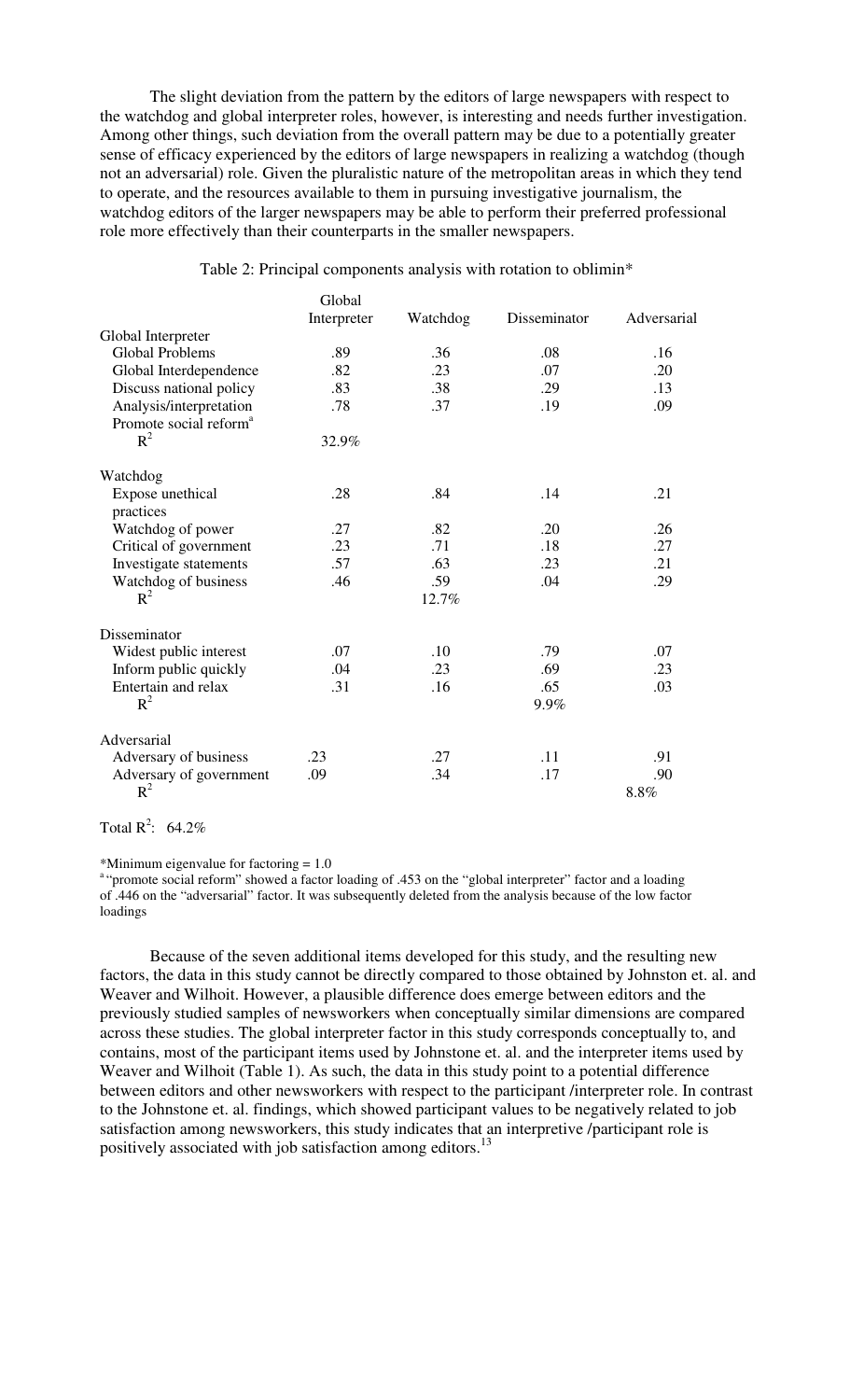The slight deviation from the pattern by the editors of large newspapers with respect to the watchdog and global interpreter roles, however, is interesting and needs further investigation. Among other things, such deviation from the overall pattern may be due to a potentially greater sense of efficacy experienced by the editors of large newspapers in realizing a watchdog (though not an adversarial) role. Given the pluralistic nature of the metropolitan areas in which they tend to operate, and the resources available to them in pursuing investigative journalism, the watchdog editors of the larger newspapers may be able to perform their preferred professional role more effectively than their counterparts in the smaller newspapers.

#### Table 2: Principal components analysis with rotation to oblimin\*

|                                    | Global      |          |              |             |
|------------------------------------|-------------|----------|--------------|-------------|
|                                    | Interpreter | Watchdog | Disseminator | Adversarial |
| Global Interpreter                 |             |          |              |             |
| <b>Global Problems</b>             | .89         | .36      | .08          | .16         |
| Global Interdependence             | .82         | .23      | .07          | .20         |
| Discuss national policy            | .83         | .38      | .29          | .13         |
| Analysis/interpretation            | .78         | .37      | .19          | .09         |
| Promote social reform <sup>a</sup> |             |          |              |             |
| $R^2$                              | 32.9%       |          |              |             |
| Watchdog                           |             |          |              |             |
| Expose unethical                   | .28         | .84      | .14          | .21         |
| practices                          |             |          |              |             |
| Watchdog of power                  | .27         | .82      | .20          | .26         |
| Critical of government             | .23         | .71      | .18          | .27         |
| Investigate statements             | .57         | .63      | .23          | .21         |
| Watchdog of business               | .46         | .59      | .04          | .29         |
| $R^2$                              |             | 12.7%    |              |             |
| Disseminator                       |             |          |              |             |
| Widest public interest             | .07         | .10      | .79          | .07         |
| Inform public quickly              | .04         | .23      | .69          | .23         |
| Entertain and relax                | .31         | .16      | .65          | .03         |
| $R^2$                              |             |          | 9.9%         |             |
| Adversarial                        |             |          |              |             |
| Adversary of business              | .23         | .27      | .11          | .91         |
| Adversary of government            | .09         | .34      | .17          | .90         |
| $R^2$                              |             |          |              | 8.8%        |

Total  $R^2$ : 64.2%

\*Minimum eigenvalue for factoring = 1.0

<sup>a</sup>"promote social reform" showed a factor loading of .453 on the "global interpreter" factor and a loading of .446 on the "adversarial" factor. It was subsequently deleted from the analysis because of the low factor loadings

Because of the seven additional items developed for this study, and the resulting new factors, the data in this study cannot be directly compared to those obtained by Johnston et. al. and Weaver and Wilhoit. However, a plausible difference does emerge between editors and the previously studied samples of newsworkers when conceptually similar dimensions are compared across these studies. The global interpreter factor in this study corresponds conceptually to, and contains, most of the participant items used by Johnstone et. al. and the interpreter items used by Weaver and Wilhoit (Table 1). As such, the data in this study point to a potential difference between editors and other newsworkers with respect to the participant /interpreter role. In contrast to the Johnstone et. al. findings, which showed participant values to be negatively related to job satisfaction among newsworkers, this study indicates that an interpretive /participant role is positively associated with job satisfaction among editors.<sup>13</sup>